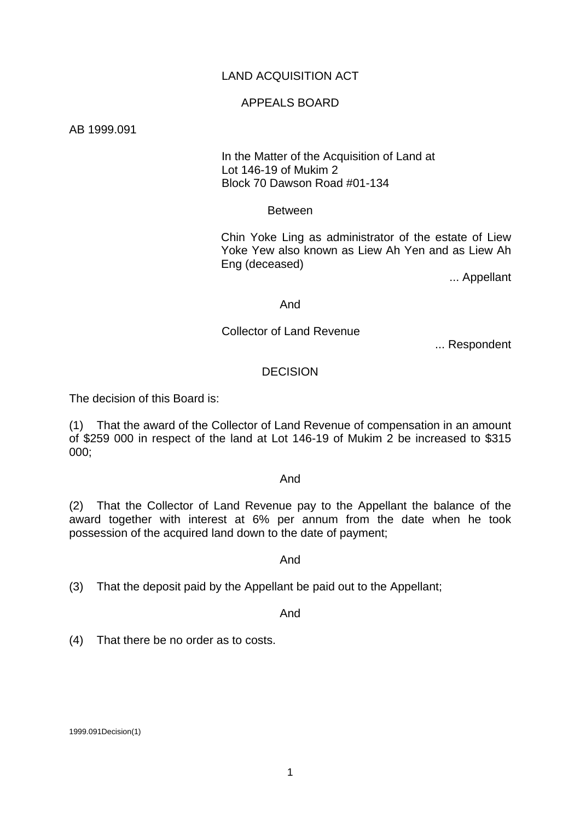# LAND ACQUISITION ACT

## APPEALS BOARD

AB 1999.091

 In the Matter of the Acquisition of Land at Lot 146-19 of Mukim 2 Block 70 Dawson Road #01-134

### **Between**

Chin Yoke Ling as administrator of the estate of Liew Yoke Yew also known as Liew Ah Yen and as Liew Ah Eng (deceased)

... Appellant

#### And

## Collector of Land Revenue

... Respondent

# DECISION

The decision of this Board is:

(1) That the award of the Collector of Land Revenue of compensation in an amount of \$259 000 in respect of the land at Lot 146-19 of Mukim 2 be increased to \$315 000;

#### And

(2) That the Collector of Land Revenue pay to the Appellant the balance of the award together with interest at 6% per annum from the date when he took possession of the acquired land down to the date of payment;

#### And

(3) That the deposit paid by the Appellant be paid out to the Appellant;

And

(4) That there be no order as to costs.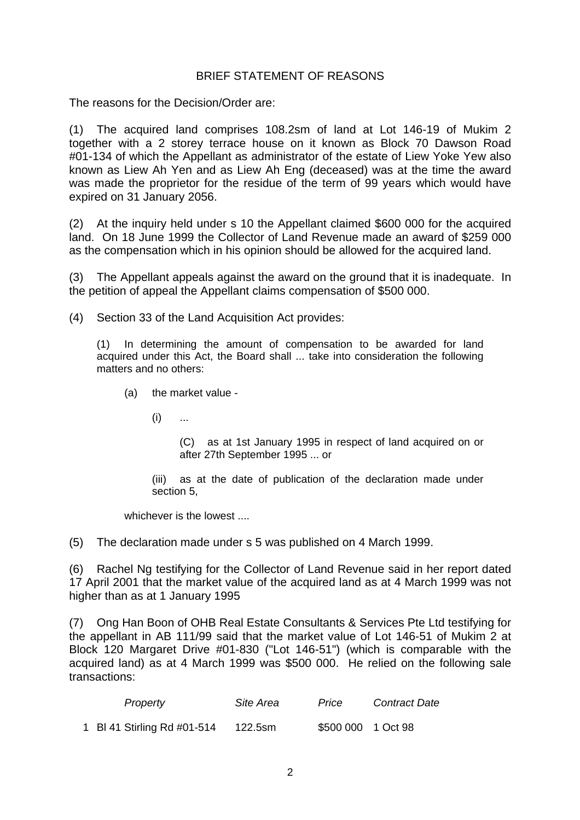# BRIEF STATEMENT OF REASONS

The reasons for the Decision/Order are:

(1) The acquired land comprises 108.2sm of land at Lot 146-19 of Mukim 2 together with a 2 storey terrace house on it known as Block 70 Dawson Road #01-134 of which the Appellant as administrator of the estate of Liew Yoke Yew also known as Liew Ah Yen and as Liew Ah Eng (deceased) was at the time the award was made the proprietor for the residue of the term of 99 years which would have expired on 31 January 2056.

(2) At the inquiry held under s 10 the Appellant claimed \$600 000 for the acquired land. On 18 June 1999 the Collector of Land Revenue made an award of \$259 000 as the compensation which in his opinion should be allowed for the acquired land.

(3) The Appellant appeals against the award on the ground that it is inadequate. In the petition of appeal the Appellant claims compensation of \$500 000.

(4) Section 33 of the Land Acquisition Act provides:

(1) In determining the amount of compensation to be awarded for land acquired under this Act, the Board shall ... take into consideration the following matters and no others:

- (a) the market value
	- $(i)$  ...

(C) as at 1st January 1995 in respect of land acquired on or after 27th September 1995 ... or

(iii) as at the date of publication of the declaration made under section 5,

whichever is the lowest ....

(5) The declaration made under s 5 was published on 4 March 1999.

(6) Rachel Ng testifying for the Collector of Land Revenue said in her report dated 17 April 2001 that the market value of the acquired land as at 4 March 1999 was not higher than as at 1 January 1995

(7) Ong Han Boon of OHB Real Estate Consultants & Services Pte Ltd testifying for the appellant in AB 111/99 said that the market value of Lot 146-51 of Mukim 2 at Block 120 Margaret Drive #01-830 ("Lot 146-51") (which is comparable with the acquired land) as at 4 March 1999 was \$500 000. He relied on the following sale transactions:

| Property                    | Site Area | Price              | <b>Contract Date</b> |
|-----------------------------|-----------|--------------------|----------------------|
| 1 BI 41 Stirling Rd #01-514 | 122.5sm   | \$500 000 1 Oct 98 |                      |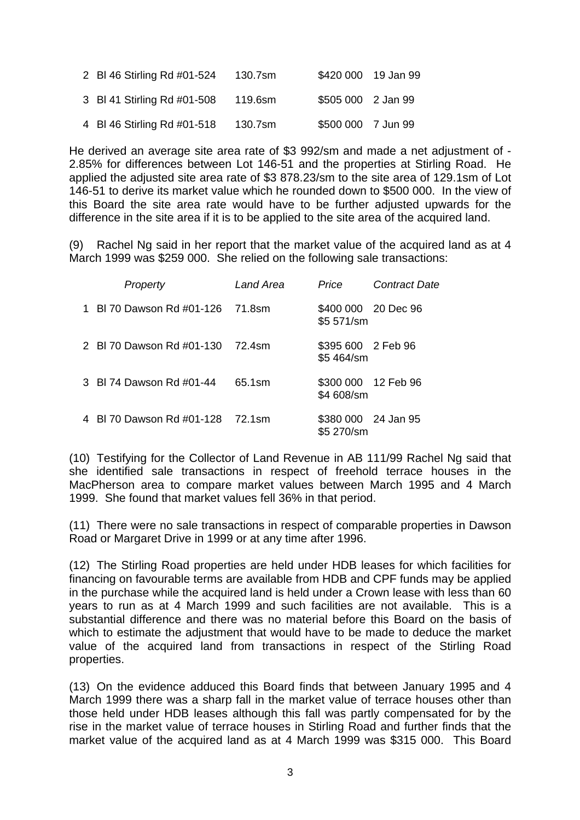| 2 BI 46 Stirling Rd #01-524 | 130.7sm |                    | \$420 000 19 Jan 99 |
|-----------------------------|---------|--------------------|---------------------|
| 3 BI 41 Stirling Rd #01-508 | 119.6sm | \$505 000 2 Jan 99 |                     |
| 4 BI 46 Stirling Rd #01-518 | 130.7sm | \$500 000 7 Jun 99 |                     |

He derived an average site area rate of \$3 992/sm and made a net adjustment of - 2.85% for differences between Lot 146-51 and the properties at Stirling Road. He applied the adjusted site area rate of \$3 878.23/sm to the site area of 129.1sm of Lot 146-51 to derive its market value which he rounded down to \$500 000. In the view of this Board the site area rate would have to be further adjusted upwards for the difference in the site area if it is to be applied to the site area of the acquired land.

(9) Rachel Ng said in her report that the market value of the acquired land as at 4 March 1999 was \$259 000. She relied on the following sale transactions:

| Property                         | Land Area | Price                             | <b>Contract Date</b> |
|----------------------------------|-----------|-----------------------------------|----------------------|
| 1 BL70 Dawson Rd #01-126         | 71.8sm    | \$400 000 20 Dec 96<br>\$5 571/sm |                      |
| 2 BI 70 Dawson Rd #01-130        | 72.4sm    | \$395 600 2 Feb 96<br>\$5 464/sm  |                      |
| 3 BI 74 Dawson Rd #01-44         | 65.1sm    | \$300 000 12 Feb 96<br>\$4 608/sm |                      |
| 4 BI 70 Dawson Rd #01-128 72.1sm |           | \$380 000 24 Jan 95<br>\$5 270/sm |                      |

(10) Testifying for the Collector of Land Revenue in AB 111/99 Rachel Ng said that she identified sale transactions in respect of freehold terrace houses in the MacPherson area to compare market values between March 1995 and 4 March 1999. She found that market values fell 36% in that period.

(11) There were no sale transactions in respect of comparable properties in Dawson Road or Margaret Drive in 1999 or at any time after 1996.

(12) The Stirling Road properties are held under HDB leases for which facilities for financing on favourable terms are available from HDB and CPF funds may be applied in the purchase while the acquired land is held under a Crown lease with less than 60 years to run as at 4 March 1999 and such facilities are not available. This is a substantial difference and there was no material before this Board on the basis of which to estimate the adjustment that would have to be made to deduce the market value of the acquired land from transactions in respect of the Stirling Road properties.

(13) On the evidence adduced this Board finds that between January 1995 and 4 March 1999 there was a sharp fall in the market value of terrace houses other than those held under HDB leases although this fall was partly compensated for by the rise in the market value of terrace houses in Stirling Road and further finds that the market value of the acquired land as at 4 March 1999 was \$315 000. This Board